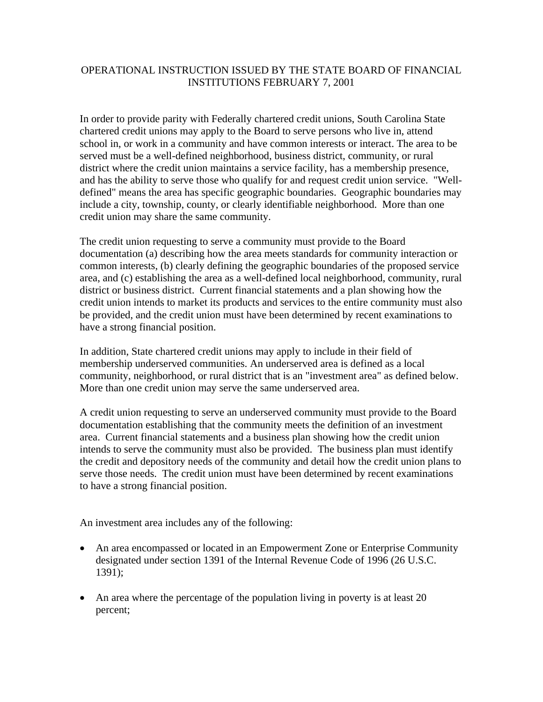## OPERATIONAL INSTRUCTION ISSUED BY THE STATE BOARD OF FINANCIAL INSTITUTIONS FEBRUARY 7, 2001

In order to provide parity with Federally chartered credit unions, South Carolina State chartered credit unions may apply to the Board to serve persons who live in, attend school in, or work in a community and have common interests or interact. The area to be served must be a well-defined neighborhood, business district, community, or rural district where the credit union maintains a service facility, has a membership presence, and has the ability to serve those who qualify for and request credit union service. "Welldefined" means the area has specific geographic boundaries. Geographic boundaries may include a city, township, county, or clearly identifiable neighborhood. More than one credit union may share the same community.

The credit union requesting to serve a community must provide to the Board documentation (a) describing how the area meets standards for community interaction or common interests, (b) clearly defining the geographic boundaries of the proposed service area, and (c) establishing the area as a well-defined local neighborhood, community, rural district or business district. Current financial statements and a plan showing how the credit union intends to market its products and services to the entire community must also be provided, and the credit union must have been determined by recent examinations to have a strong financial position.

In addition, State chartered credit unions may apply to include in their field of membership underserved communities. An underserved area is defined as a local community, neighborhood, or rural district that is an "investment area" as defined below. More than one credit union may serve the same underserved area.

A credit union requesting to serve an underserved community must provide to the Board documentation establishing that the community meets the definition of an investment area. Current financial statements and a business plan showing how the credit union intends to serve the community must also be provided. The business plan must identify the credit and depository needs of the community and detail how the credit union plans to serve those needs. The credit union must have been determined by recent examinations to have a strong financial position.

An investment area includes any of the following:

- An area encompassed or located in an Empowerment Zone or Enterprise Community designated under section 1391 of the Internal Revenue Code of 1996 (26 U.S.C. 1391);
- An area where the percentage of the population living in poverty is at least 20 percent;